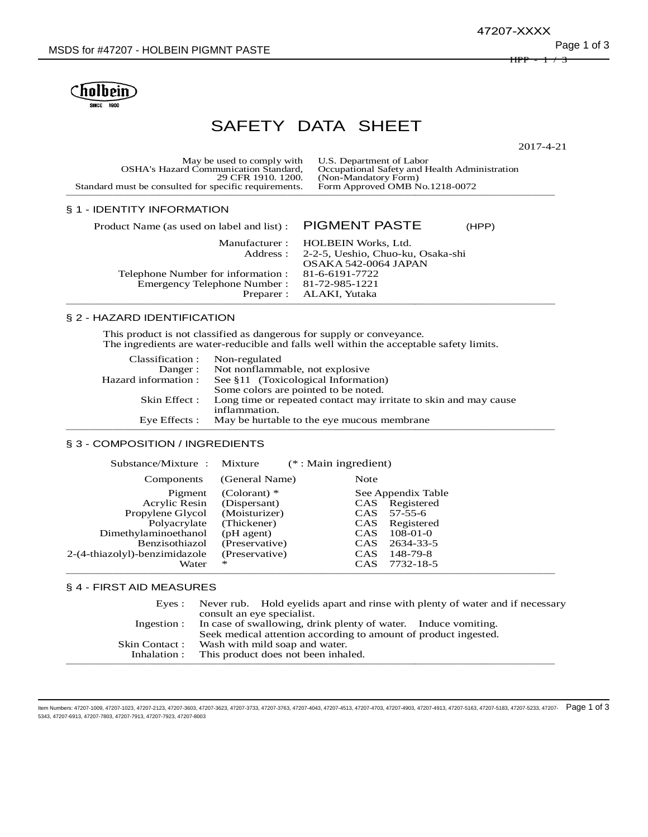$\mathsf{H}\mathsf{P}\mathsf{P}$ 47207-XXXX



# SAFETY DATA SHEET

2017-4-21

| May be used to comply with U.S. Department of Labor   |                                               |
|-------------------------------------------------------|-----------------------------------------------|
| <b>OSHA's Hazard Communication Standard.</b>          | Occupational Safety and Health Administration |
| 29 CFR 1910, 1200.                                    | (Non-Mandatory Form)                          |
| Standard must be consulted for specific requirements. | Form Approved OMB No.1218-0072                |
|                                                       |                                               |

# § 1 - IDENTITY INFORMATION

| Product Name (as used on label and list) : PIGMENT PASTE | (HPP)                                      |
|----------------------------------------------------------|--------------------------------------------|
|                                                          | Manufacturer: HOLBEIN Works, Ltd.          |
|                                                          | Address: 2-2-5, Ueshio, Chuo-ku, Osaka-shi |
|                                                          | OSAKA 542-0064 JAPAN                       |
| Telephone Number for information : 81-6-6191-7722        |                                            |
| Emergency Telephone Number: 81-72-985-1221               |                                            |
|                                                          | Preparer : ALAKI, Yutaka                   |

## § 2 - HAZARD IDENTIFICATION

This product is not classified as dangerous for supply or conveyance. The ingredients are water-reducible and falls well within the acceptable safety limits.

| Classification :     | Non-regulated                                                    |
|----------------------|------------------------------------------------------------------|
| Danger:              | Not nonflammable, not explosive                                  |
| Hazard information : | See §11 (Toxicological Information)                              |
|                      | Some colors are pointed to be noted.                             |
| Skin Effect :        | Long time or repeated contact may irritate to skin and may cause |
|                      | inflammation.                                                    |
| Eye Effects :        | May be hurtable to the eye mucous membrane                       |
|                      |                                                                  |

## § 3 - COMPOSITION / INGREDIENTS

| Substance/Mixture : Mixture   |                | $(*: Main ingredient)$ |                    |
|-------------------------------|----------------|------------------------|--------------------|
| Components                    | (General Name) | Note                   |                    |
| Pigment                       | (Colorant) $*$ |                        | See Appendix Table |
| Acrylic Resin                 | (Dispersant)   |                        | CAS Registered     |
| Propylene Glycol              | (Moisturizer)  | CAS                    | $57 - 55 - 6$      |
| Polyacrylate                  | (Thickener)    | CAS                    | Registered         |
| Dimethylaminoethanol          | (pH agent)     | CAS                    | $108-01-0$         |
| Benzisothiazol                | (Preservative) | CAS                    | 2634-33-5          |
| 2-(4-thiazolyl)-benzimidazole | (Preservative) | CAS                    | 148-79-8           |
| Water                         | $\ast$         | <b>CAS</b>             | 7732-18-5          |
|                               |                |                        |                    |

# § 4 - FIRST AID MEASURES

| Eves:          | Never rub. Hold evelids apart and rinse with plenty of water and if necessary<br>consult an eye specialist.                                   |
|----------------|-----------------------------------------------------------------------------------------------------------------------------------------------|
|                | Ingestion : In case of swallowing, drink plenty of water. Induce vomiting.<br>Seek medical attention according to amount of product ingested. |
| Skin Contact : | Wash with mild soap and water.                                                                                                                |
| Inhalation :   | This product does not been inhaled.                                                                                                           |
|                |                                                                                                                                               |

ltem Numbers: 47207-1009, 47207-1023, 47207-2123, 47207-3603, 47207-3623, 47207-3733, 47207-4043, 47207-4513, 47207-4913, 47207-4913, 47207-4913, 47207-5163, 47207-5183, 47207-5183, 47207-5233, 47207-5183, 47207-5183, 4720 5343, 47207-6913, 47207-7803, 47207-7913, 47207-7923, 47207-8003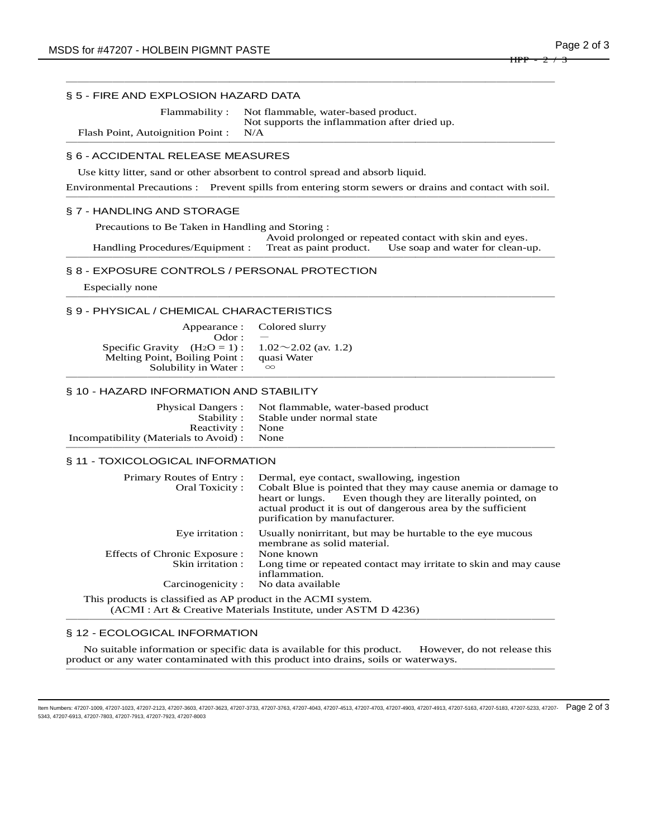# § 5 - FIRE AND EXPLOSION HAZARD DATA

Flammability : Not flammable, water-based product. Not supports the inflammation after dried up.

Flash Point, Autoignition Point : N/A ──────────────────────────────────────────

# § 6 - ACCIDENTAL RELEASE MEASURES

Use kitty litter, sand or other absorbent to control spread and absorb liquid.

Environmental Precautions : Prevent spills from entering storm sewers or drains and contact with soil. ────────────────────────────────<del>─</del>

──────────────────────────────────────────

## § 7 - HANDLING AND STORAGE

 Precautions to Be Taken in Handling and Storing : Avoid prolonged or repeated contact with skin and eyes. Handling Procedures/Equipment : Treat as paint product. Use soap and water for clean-up. ──────────────────────────────────────────

## § 8 - EXPOSURE CONTROLS / PERSONAL PROTECTION

 Especially none ──────────────────────────────────────────

## § 9 - PHYSICAL / CHEMICAL CHARACTERISTICS

|                                                         | Appearance : Colored slurry |
|---------------------------------------------------------|-----------------------------|
| $\Omega$ dor : $\theta$                                 |                             |
| Specific Gravity $(H_2O = 1): 1.02 \sim 2.02$ (av. 1.2) |                             |
| Melting Point, Boiling Point : quasi Water              |                             |
| Solubility in Water:                                    | $\infty$                    |
|                                                         |                             |

# § 10 - HAZARD INFORMATION AND STABILITY

|                                             | Physical Dangers : Not flammable, water-based product |
|---------------------------------------------|-------------------------------------------------------|
|                                             | Stability: Stable under normal state                  |
| Reactivity: None                            |                                                       |
| Incompatibility (Materials to Avoid) : None |                                                       |
|                                             |                                                       |

## § 11 - TOXICOLOGICAL INFORMATION

| Primary Routes of Entry:<br>Oral Toxicity: | Dermal, eye contact, swallowing, ingestion<br>Cobalt Blue is pointed that they may cause anemia or damage to<br>heart or lungs. Even though they are literally pointed, on<br>actual product it is out of dangerous area by the sufficient<br>purification by manufacturer. |
|--------------------------------------------|-----------------------------------------------------------------------------------------------------------------------------------------------------------------------------------------------------------------------------------------------------------------------------|
| Eye irritation :                           | Usually nonirritant, but may be hurtable to the eye mucous<br>membrane as solid material.                                                                                                                                                                                   |
| Effects of Chronic Exposure :              | None known                                                                                                                                                                                                                                                                  |
| Skin irritation :                          | Long time or repeated contact may irritate to skin and may cause<br>inflammation.                                                                                                                                                                                           |
| Carcinogenicity:                           | No data available                                                                                                                                                                                                                                                           |

 This products is classified as AP product in the ACMI system. (ACMI : Art & Creative Materials Institute, under ASTM D 4236) ──────────────────────────────────────────

## § 12 - ECOLOGICAL INFORMATION

 No suitable information or specific data is available for this product. However, do not release this product or any water contaminated with this product into drains, soils or waterways. ──────────────────────────────────────────

ltem Numbers: 47207-1009, 47207-1023, 47207-2123, 47207-3603, 47207-3623, 47207-3733, 47207-4043, 47207-4513, 47207-4913, 47207-4913, 47207-4913, 47207-5163, 47207-5183, 47207-5183, 47207-5233, 47207-5183, 47207-5183, 4720 5343, 47207-6913, 47207-7803, 47207-7913, 47207-7923, 47207-8003